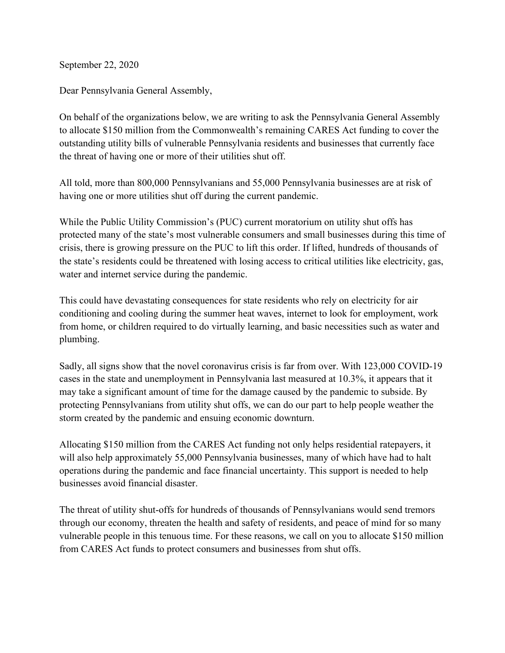September 22, 2020

Dear Pennsylvania General Assembly,

On behalf of the organizations below, we are writing to ask the Pennsylvania General Assembly to allocate \$150 million from the Commonwealth's remaining CARES Act funding to cover the outstanding utility bills of vulnerable Pennsylvania residents and businesses that currently face the threat of having one or more of their utilities shut off.

All told, more than 800,000 Pennsylvanians and 55,000 Pennsylvania businesses are at risk of having one or more utilities shut off during the current pandemic.

While the Public Utility Commission's (PUC) current moratorium on utility shut offs has protected many of the state's most vulnerable consumers and small businesses during this time of crisis, there is growing pressure on the PUC to lift this order. If lifted, hundreds of thousands of the state's residents could be threatened with losing access to critical utilities like electricity, gas, water and internet service during the pandemic.

This could have devastating consequences for state residents who rely on electricity for air conditioning and cooling during the summer heat waves, internet to look for employment, work from home, or children required to do virtually learning, and basic necessities such as water and plumbing.

Sadly, all signs show that the novel coronavirus crisis is far from over. With 123,000 COVID-19 cases in the state and unemployment in Pennsylvania last measured at 10.3%, it appears that it may take a significant amount of time for the damage caused by the pandemic to subside. By protecting Pennsylvanians from utility shut offs, we can do our part to help people weather the storm created by the pandemic and ensuing economic downturn.

Allocating \$150 million from the CARES Act funding not only helps residential ratepayers, it will also help approximately 55,000 Pennsylvania businesses, many of which have had to halt operations during the pandemic and face financial uncertainty. This support is needed to help businesses avoid financial disaster.

The threat of utility shut-offs for hundreds of thousands of Pennsylvanians would send tremors through our economy, threaten the health and safety of residents, and peace of mind for so many vulnerable people in this tenuous time. For these reasons, we call on you to allocate \$150 million from CARES Act funds to protect consumers and businesses from shut offs.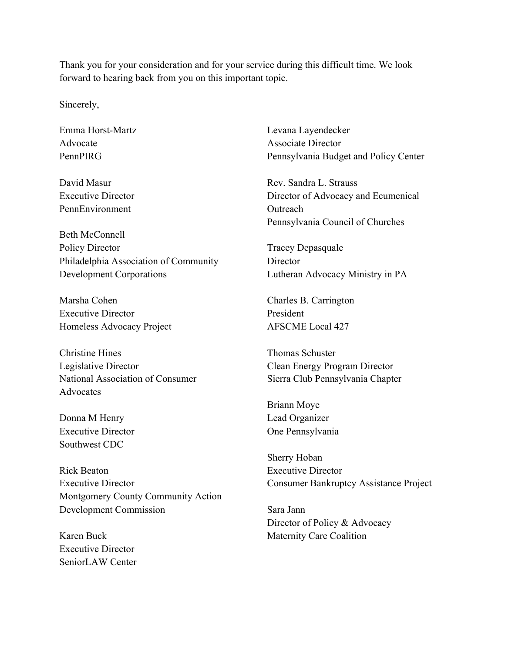Thank you for your consideration and for your service during this difficult time. We look forward to hearing back from you on this important topic.

Sincerely,

Emma Horst-Martz Advocate PennPIRG

David Masur Executive Director PennEnvironment

Beth McConnell Policy Director Philadelphia Association of Community Development Corporations

Marsha Cohen Executive Director Homeless Advocacy Project

Christine Hines Legislative Director National Association of Consumer **Advocates** 

Donna M Henry Executive Director Southwest CDC

Rick Beaton Executive Director Montgomery County Community Action Development Commission

Karen Buck Executive Director SeniorLAW Center Levana Layendecker Associate Director Pennsylvania Budget and Policy Center

Rev. Sandra L. Strauss Director of Advocacy and Ecumenical **Outreach** Pennsylvania Council of Churches

Tracey Depasquale **Director** Lutheran Advocacy Ministry in PA

Charles B. Carrington President AFSCME Local 427

Thomas Schuster Clean Energy Program Director Sierra Club Pennsylvania Chapter

Briann Moye Lead Organizer One Pennsylvania

Sherry Hoban Executive Director Consumer Bankruptcy Assistance Project

Sara Jann Director of Policy & Advocacy Maternity Care Coalition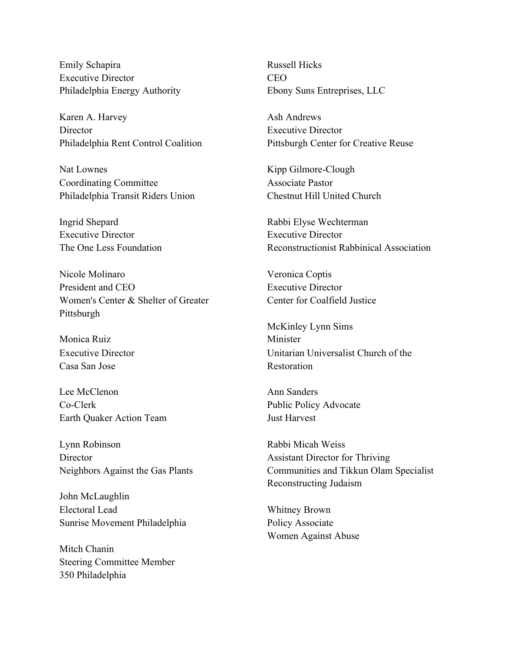Emily Schapira Executive Director Philadelphia Energy Authority

Karen A. Harvey **Director** Philadelphia Rent Control Coalition

Nat Lownes Coordinating Committee Philadelphia Transit Riders Union

Ingrid Shepard Executive Director The One Less Foundation

Nicole Molinaro President and CEO Women's Center & Shelter of Greater Pittsburgh

Monica Ruiz Executive Director Casa San Jose

Lee McClenon Co-Clerk Earth Quaker Action Team

Lynn Robinson **Director** Neighbors Against the Gas Plants

John McLaughlin Electoral Lead Sunrise Movement Philadelphia

Mitch Chanin Steering Committee Member 350 Philadelphia

Russell Hicks CEO Ebony Suns Entreprises, LLC

Ash Andrews Executive Director Pittsburgh Center for Creative Reuse

Kipp Gilmore-Clough Associate Pastor Chestnut Hill United Church

Rabbi Elyse Wechterman Executive Director Reconstructionist Rabbinical Association

Veronica Coptis Executive Director Center for Coalfield Justice

McKinley Lynn Sims Minister Unitarian Universalist Church of the Restoration

Ann Sanders Public Policy Advocate Just Harvest

Rabbi Micah Weiss Assistant Director for Thriving Communities and Tikkun Olam Specialist Reconstructing Judaism

Whitney Brown Policy Associate Women Against Abuse